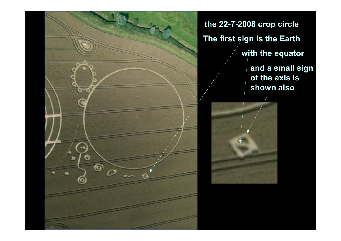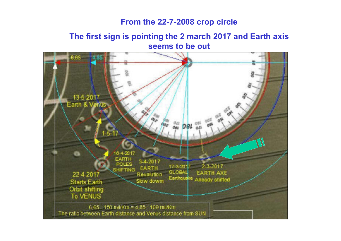#### **From the 22-7-2008 crop circle**

#### **The first sign is pointing the 2 march 2017 and Earth axis seems to be out**

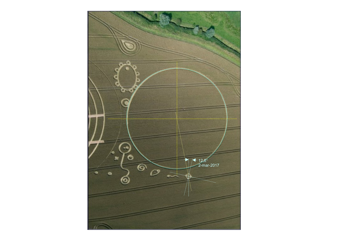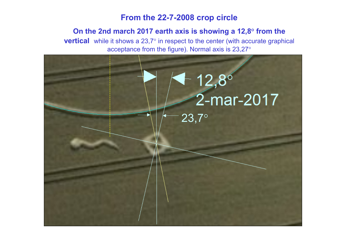#### **From the 22-7-2008 crop circle**

## **On the 2nd march 2017 earth axis is showing a 12,8° from the**

 **vertical** while it shows a 23,7° in respect to the center (with accurate graphical acceptance from the figure). Normal axis is 23,27 $^{\circ}$ 

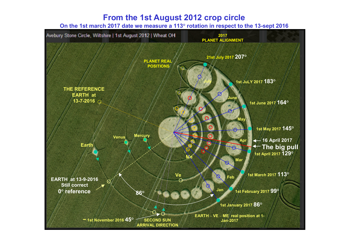#### **From the 1st August 2012 crop circle**

**On the 1st march 2017 date we measure a 113° rotation in respect to the 13-sept 2016**

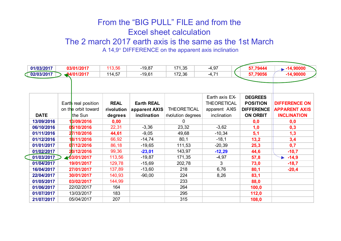### From the "BIG PULL" FILE and from the Excel sheet calculation

#### The 2 march 2017 earth axis is the same as the 1st March

A 14,9° DIFFERENCE on the apparent axis inclination

| 01/03/2017  | 03/01/2017          | 113,56      | $-19,87$          | 171,35             | $-4,97$            | 57,79444          | $\blacktriangleright$ -14,90000 |
|-------------|---------------------|-------------|-------------------|--------------------|--------------------|-------------------|---------------------------------|
| 02/03/2017  | 24/01/2017          | 114,57      | $-19,61$          | 172,36             | $-4,71$            | 57,79056          | $-14,90000$                     |
|             |                     |             |                   |                    |                    |                   |                                 |
|             |                     |             |                   |                    |                    |                   |                                 |
|             |                     |             |                   |                    | Earth axis EX-     | <b>DEGREES</b>    |                                 |
|             | Earth real position | <b>REAL</b> | <b>Earth REAL</b> |                    | <b>THEORETICAL</b> | <b>POSITION</b>   | <b>DIFFERENCE ON</b>            |
|             | on the orbit toward | rivolution  | apparent AXIS     | <b>THEORETICAL</b> | apparent AXIS      | <b>DIFFERENCE</b> | <b>APPARENT AXIS</b>            |
| <b>DATE</b> | the Sun             | degrees     | inclination       | rivolution degrees | inclination        | <b>ON ORBIT</b>   | <b>INCLINATION</b>              |
| 13/09/2016  | 13/09/2016          | 0,00        |                   |                    |                    | 0,0               | 0,0                             |
| 06/10/2016  | 05/10/2016          | 22,31       | $-3,36$           | 23,32              | $-3,62$            | 1,0               | 0,3                             |
| 01/11/2016  | 27/10/2016          | 44,61       | $-9,05$           | 49,68              | $-10,34$           | 5,1               | 1,3                             |
| 01/12/2016  | 18/11/2016          | 66,92       | $-14,74$          | 80,1               | $-18,1$            | 13,2              | 3,4                             |
| 01/01/2017  | 07/12/2016          | 86,18       | $-19,65$          | 111,53             | $-20,39$           | 25,3              | 0,7                             |
| 01/02/2017  | 20/12/2016          | 99,36       | $-23,01$          | 143,97             | $-12,29$           | 44,6              | $-10,7$                         |
| 01/03/2017  | 103/01/2017         | 113,56      | $-19,87$          | 171,35             | $-4,97$            | 57,8              | $-14,9$                         |
| 01/04/2017  | 19/01/2017          | 129,78      | $-15,69$          | 202,78             | 3                  | 73,0              | $-18,7$                         |
| 16/04/2017  | 27/01/2017          | 137,89      | $-13,60$          | 218                | 6,76               | 80,1              | $-20,4$                         |
| 22/04/2017  | 30/01/2017          | 140,93      | $-90,00$          | 224                | 8,26               | 83,1              |                                 |
| 01/05/2017  | 03/02/2017          | 144,99      |                   | 233                |                    | 88,0              |                                 |
| 01/06/2017  | 22/02/2017          | 164         |                   | 264                |                    | 100,0             |                                 |
| 01/07/2017  | 13/03/2017          | 183         |                   | 295                |                    | 112,0             |                                 |
| 21/07/2017  | 05/04/2017          | 207         |                   | 315                |                    | 108,0             |                                 |